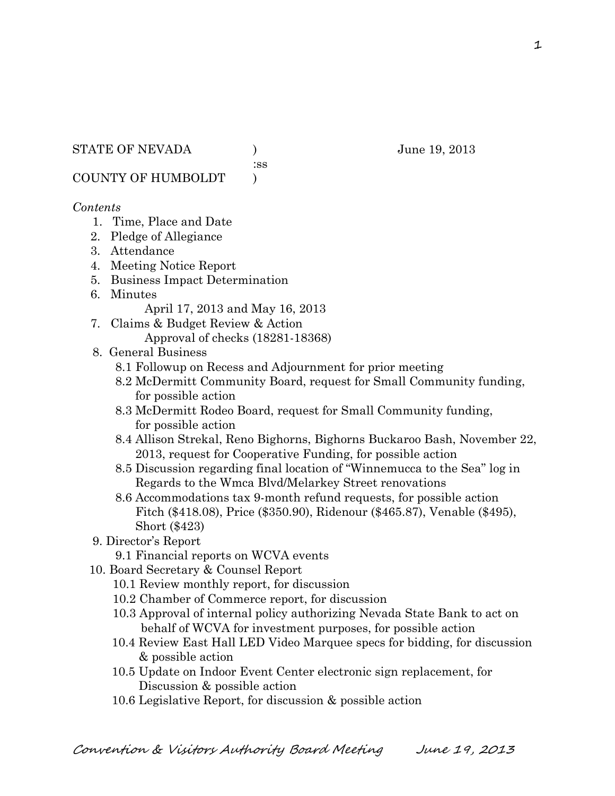:ss

COUNTY OF HUMBOLDT )

#### *Contents*

- 1. Time, Place and Date
- 2. Pledge of Allegiance
- 3. Attendance
- 4. Meeting Notice Report
- 5. Business Impact Determination
- 6. Minutes

April 17, 2013 and May 16, 2013

- 7. Claims & Budget Review & Action Approval of checks (18281-18368)
- 8. General Business
	- 8.1 Followup on Recess and Adjournment for prior meeting
	- 8.2 McDermitt Community Board, request for Small Community funding, for possible action
	- 8.3 McDermitt Rodeo Board, request for Small Community funding, for possible action
	- 8.4 Allison Strekal, Reno Bighorns, Bighorns Buckaroo Bash, November 22, 2013, request for Cooperative Funding, for possible action
	- 8.5 Discussion regarding final location of "Winnemucca to the Sea" log in Regards to the Wmca Blvd/Melarkey Street renovations
	- 8.6 Accommodations tax 9-month refund requests, for possible action Fitch (\$418.08), Price (\$350.90), Ridenour (\$465.87), Venable (\$495), Short (\$423)
- 9. Director's Report
	- 9.1 Financial reports on WCVA events
- 10. Board Secretary & Counsel Report
	- 10.1 Review monthly report, for discussion
	- 10.2 Chamber of Commerce report, for discussion
	- 10.3 Approval of internal policy authorizing Nevada State Bank to act on behalf of WCVA for investment purposes, for possible action
	- 10.4 Review East Hall LED Video Marquee specs for bidding, for discussion & possible action
	- 10.5 Update on Indoor Event Center electronic sign replacement, for Discussion & possible action
	- 10.6 Legislative Report, for discussion & possible action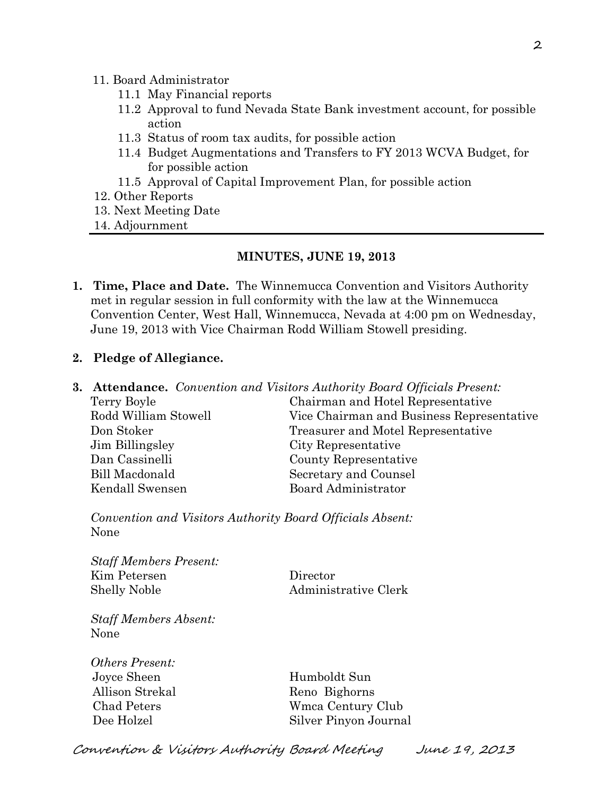#### 11. Board Administrator

- 11.1 May Financial reports
- 11.2 Approval to fund Nevada State Bank investment account, for possible action
- 11.3 Status of room tax audits, for possible action
- 11.4 Budget Augmentations and Transfers to FY 2013 WCVA Budget, for for possible action
- 11.5 Approval of Capital Improvement Plan, for possible action
- 12. Other Reports
- 13. Next Meeting Date
- 14. Adjournment

#### **MINUTES, JUNE 19, 2013**

**1. Time, Place and Date.** The Winnemucca Convention and Visitors Authority met in regular session in full conformity with the law at the Winnemucca Convention Center, West Hall, Winnemucca, Nevada at 4:00 pm on Wednesday, June 19, 2013 with Vice Chairman Rodd William Stowell presiding.

#### **2. Pledge of Allegiance.**

**3. Attendance.** *Convention and Visitors Authority Board Officials Present:* Terry Boyle Chairman and Hotel Representative Rodd William Stowell Vice Chairman and Business Representative Don Stoker Treasurer and Motel Representative Jim Billingsley City Representative Dan Cassinelli County Representative Bill Macdonald Secretary and Counsel Kendall Swensen Board Administrator

*Convention and Visitors Authority Board Officials Absent:* None

*Staff Members Present:* Kim Petersen Director Shelly Noble Administrative Clerk

*Staff Members Absent:* None

*Others Present:* Joyce Sheen Humboldt Sun Allison Strekal Reno Bighorns

 Chad Peters Wmca Century Club Dee Holzel Silver Pinyon Journal

Convention & Visitors Authority Board Meeting June 19, 2013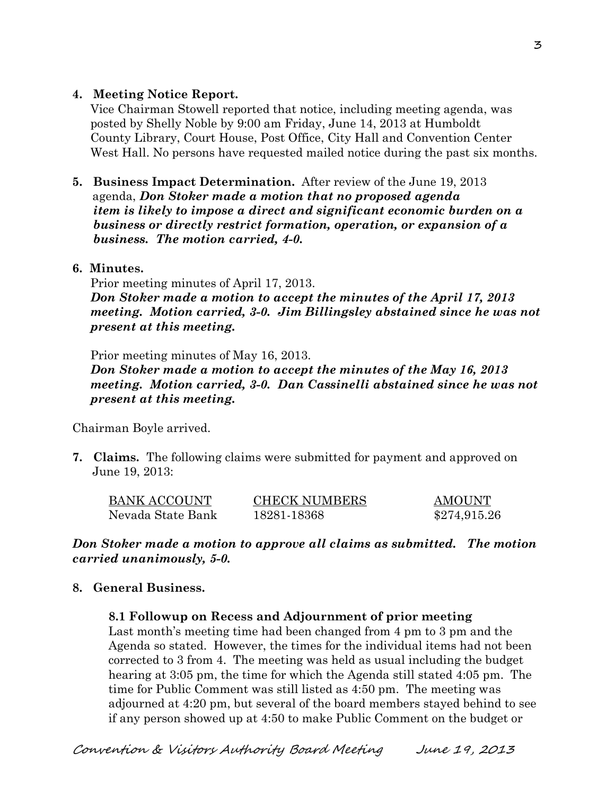#### **4. Meeting Notice Report.**

Vice Chairman Stowell reported that notice, including meeting agenda, was posted by Shelly Noble by 9:00 am Friday, June 14, 2013 at Humboldt County Library, Court House, Post Office, City Hall and Convention Center West Hall. No persons have requested mailed notice during the past six months.

**5. Business Impact Determination.** After review of the June 19, 2013 agenda, *Don Stoker made a motion that no proposed agenda item is likely to impose a direct and significant economic burden on a business or directly restrict formation, operation, or expansion of a business. The motion carried, 4-0.* 

### **6. Minutes.**

Prior meeting minutes of April 17, 2013.

*Don Stoker made a motion to accept the minutes of the April 17, 2013 meeting. Motion carried, 3-0. Jim Billingsley abstained since he was not present at this meeting.*

Prior meeting minutes of May 16, 2013.

*Don Stoker made a motion to accept the minutes of the May 16, 2013 meeting. Motion carried, 3-0. Dan Cassinelli abstained since he was not present at this meeting.*

Chairman Boyle arrived.

**7. Claims.** The following claims were submitted for payment and approved on June 19, 2013:

| <b>BANK ACCOUNT</b> | <b>CHECK NUMBERS</b> | AMOUNT       |
|---------------------|----------------------|--------------|
| Nevada State Bank   | 18281-18368          | \$274,915.26 |

*Don Stoker made a motion to approve all claims as submitted. The motion carried unanimously, 5-0.* 

# **8. General Business.**

**8.1 Followup on Recess and Adjournment of prior meeting**

 Last month's meeting time had been changed from 4 pm to 3 pm and the Agenda so stated. However, the times for the individual items had not been corrected to 3 from 4. The meeting was held as usual including the budget hearing at 3:05 pm, the time for which the Agenda still stated 4:05 pm. The time for Public Comment was still listed as 4:50 pm. The meeting was adjourned at 4:20 pm, but several of the board members stayed behind to see if any person showed up at 4:50 to make Public Comment on the budget or

3

Convention & Visitors Authority Board Meeting June 19, 2013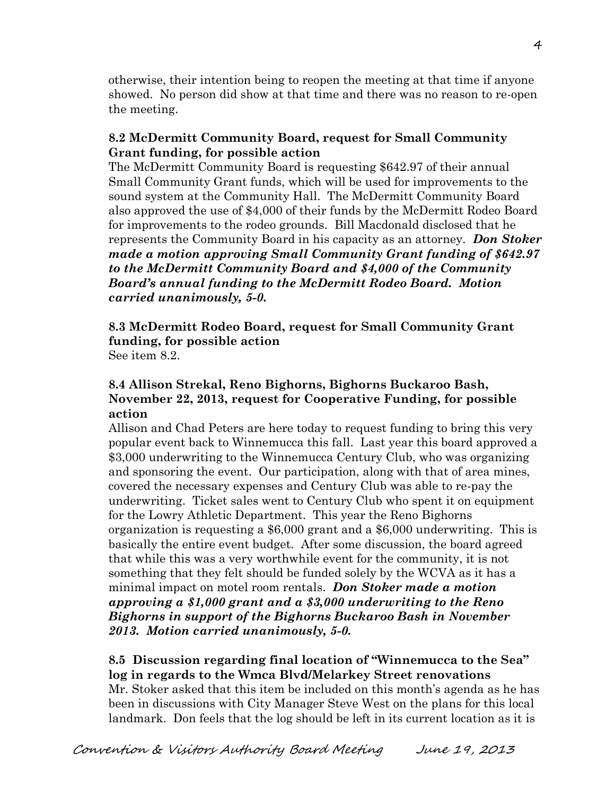otherwise, their intention being to reopen the meeting at that time if anyone showed. No person did show at that time and there was no reason to re-open the meeting.

### **8.2 McDermitt Community Board, request for Small Community Grant funding, for possible action**

The McDermitt Community Board is requesting \$642.97 of their annual Small Community Grant funds, which will be used for improvements to the sound system at the Community Hall. The McDermitt Community Board also approved the use of \$4,000 of their funds by the McDermitt Rodeo Board for improvements to the rodeo grounds. Bill Macdonald disclosed that he represents the Community Board in his capacity as an attorney. *Don Stoker made a motion approving Small Community Grant funding of \$642.97 to the McDermitt Community Board and \$4,000 of the Community Board's annual funding to the McDermitt Rodeo Board. Motion carried unanimously, 5-0.* 

**8.3 McDermitt Rodeo Board, request for Small Community Grant funding, for possible action** See item 8.2.

### **8.4 Allison Strekal, Reno Bighorns, Bighorns Buckaroo Bash, November 22, 2013, request for Cooperative Funding, for possible action**

Allison and Chad Peters are here today to request funding to bring this very popular event back to Winnemucca this fall. Last year this board approved a \$3,000 underwriting to the Winnemucca Century Club, who was organizing and sponsoring the event. Our participation, along with that of area mines, covered the necessary expenses and Century Club was able to re-pay the underwriting. Ticket sales went to Century Club who spent it on equipment for the Lowry Athletic Department. This year the Reno Bighorns organization is requesting a \$6,000 grant and a \$6,000 underwriting. This is basically the entire event budget. After some discussion, the board agreed that while this was a very worthwhile event for the community, it is not something that they felt should be funded solely by the WCVA as it has a minimal impact on motel room rentals. *Don Stoker made a motion approving a \$1,000 grant and a \$3,000 underwriting to the Reno Bighorns in support of the Bighorns Buckaroo Bash in November 2013. Motion carried unanimously, 5-0.* 

### **8.5 Discussion regarding final location of "Winnemucca to the Sea" log in regards to the Wmca Blvd/Melarkey Street renovations**

Mr. Stoker asked that this item be included on this month's agenda as he has been in discussions with City Manager Steve West on the plans for this local landmark. Don feels that the log should be left in its current location as it is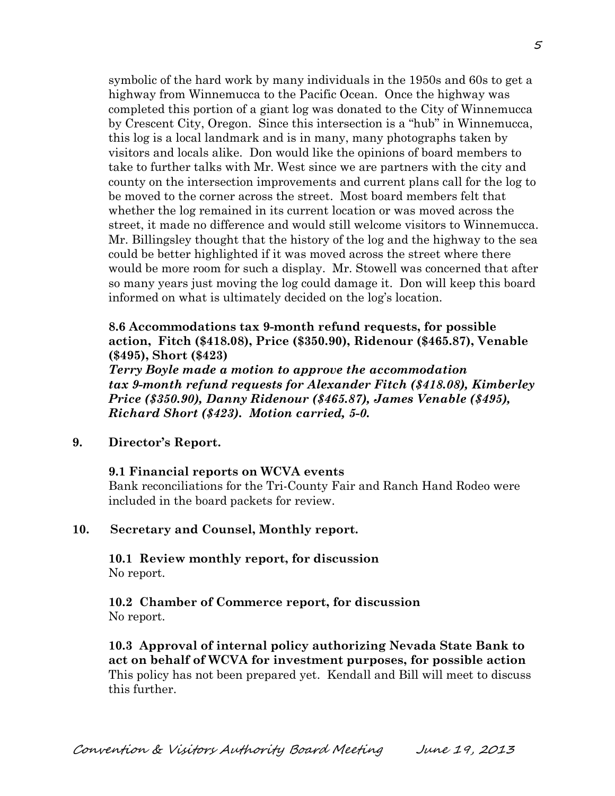symbolic of the hard work by many individuals in the 1950s and 60s to get a highway from Winnemucca to the Pacific Ocean. Once the highway was completed this portion of a giant log was donated to the City of Winnemucca by Crescent City, Oregon. Since this intersection is a "hub" in Winnemucca, this log is a local landmark and is in many, many photographs taken by visitors and locals alike. Don would like the opinions of board members to take to further talks with Mr. West since we are partners with the city and county on the intersection improvements and current plans call for the log to be moved to the corner across the street. Most board members felt that whether the log remained in its current location or was moved across the street, it made no difference and would still welcome visitors to Winnemucca. Mr. Billingsley thought that the history of the log and the highway to the sea could be better highlighted if it was moved across the street where there would be more room for such a display. Mr. Stowell was concerned that after so many years just moving the log could damage it. Don will keep this board informed on what is ultimately decided on the log's location.

### **8.6 Accommodations tax 9-month refund requests, for possible action, Fitch (\$418.08), Price (\$350.90), Ridenour (\$465.87), Venable (\$495), Short (\$423)**

*Terry Boyle made a motion to approve the accommodation tax 9-month refund requests for Alexander Fitch (\$418.08), Kimberley Price (\$350.90), Danny Ridenour (\$465.87), James Venable (\$495), Richard Short (\$423). Motion carried, 5-0.* 

**9. Director's Report.**

#### **9.1 Financial reports on WCVA events**

Bank reconciliations for the Tri-County Fair and Ranch Hand Rodeo were included in the board packets for review.

#### **10. Secretary and Counsel, Monthly report.**

**10.1 Review monthly report, for discussion** No report.

**10.2 Chamber of Commerce report, for discussion** No report.

**10.3 Approval of internal policy authorizing Nevada State Bank to act on behalf of WCVA for investment purposes, for possible action** This policy has not been prepared yet. Kendall and Bill will meet to discuss this further.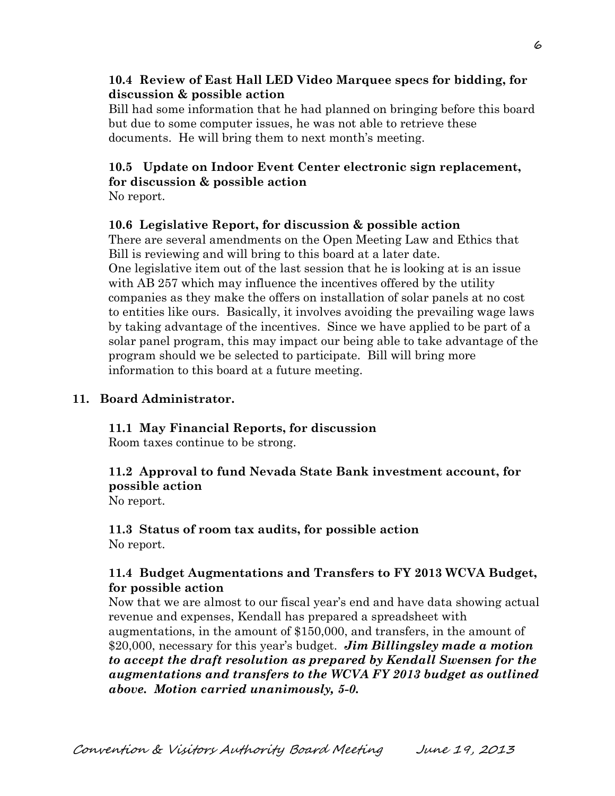### **10.4 Review of East Hall LED Video Marquee specs for bidding, for discussion & possible action**

Bill had some information that he had planned on bringing before this board but due to some computer issues, he was not able to retrieve these documents. He will bring them to next month's meeting.

# **10.5 Update on Indoor Event Center electronic sign replacement, for discussion & possible action**

No report.

#### **10.6 Legislative Report, for discussion & possible action**

There are several amendments on the Open Meeting Law and Ethics that Bill is reviewing and will bring to this board at a later date. One legislative item out of the last session that he is looking at is an issue with AB 257 which may influence the incentives offered by the utility companies as they make the offers on installation of solar panels at no cost to entities like ours. Basically, it involves avoiding the prevailing wage laws by taking advantage of the incentives. Since we have applied to be part of a solar panel program, this may impact our being able to take advantage of the program should we be selected to participate. Bill will bring more information to this board at a future meeting.

#### **11. Board Administrator.**

# **11.1 May Financial Reports, for discussion**

Room taxes continue to be strong.

# **11.2 Approval to fund Nevada State Bank investment account, for possible action**

No report.

#### **11.3 Status of room tax audits, for possible action** No report.

### **11.4 Budget Augmentations and Transfers to FY 2013 WCVA Budget, for possible action**

Now that we are almost to our fiscal year's end and have data showing actual revenue and expenses, Kendall has prepared a spreadsheet with augmentations, in the amount of \$150,000, and transfers, in the amount of \$20,000, necessary for this year's budget. *Jim Billingsley made a motion to accept the draft resolution as prepared by Kendall Swensen for the augmentations and transfers to the WCVA FY 2013 budget as outlined above. Motion carried unanimously, 5-0.*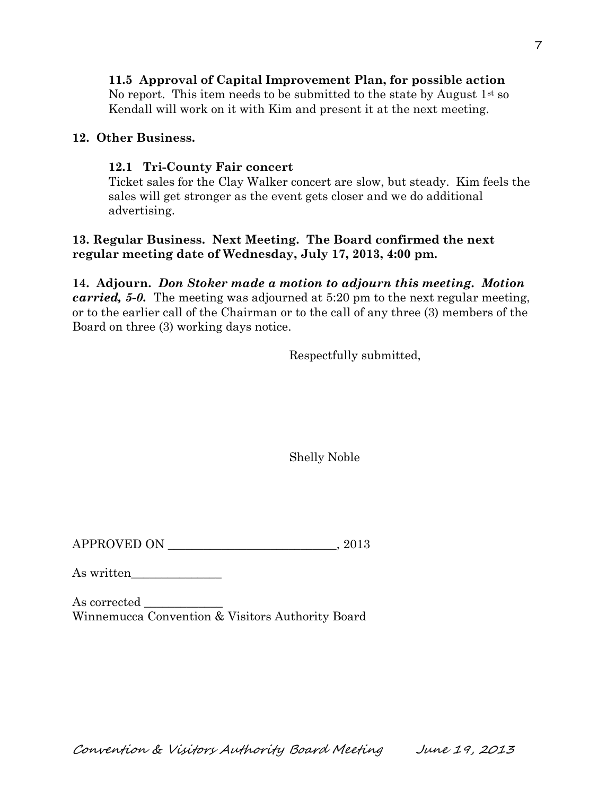# **11.5 Approval of Capital Improvement Plan, for possible action**

No report. This item needs to be submitted to the state by August  $1<sup>st</sup>$  so Kendall will work on it with Kim and present it at the next meeting.

### **12. Other Business.**

### **12.1 Tri-County Fair concert**

Ticket sales for the Clay Walker concert are slow, but steady. Kim feels the sales will get stronger as the event gets closer and we do additional advertising.

# **13. Regular Business. Next Meeting. The Board confirmed the next regular meeting date of Wednesday, July 17, 2013, 4:00 pm.**

**14. Adjourn.** *Don Stoker made a motion to adjourn this meeting. Motion carried, 5-0.* The meeting was adjourned at 5:20 pm to the next regular meeting, or to the earlier call of the Chairman or to the call of any three (3) members of the Board on three (3) working days notice.

Respectfully submitted,

Shelly Noble

APPROVED ON  $.2013$ 

As written

As corrected Winnemucca Convention & Visitors Authority Board

Convention & Visitors Authority Board Meeting June 19, 2013